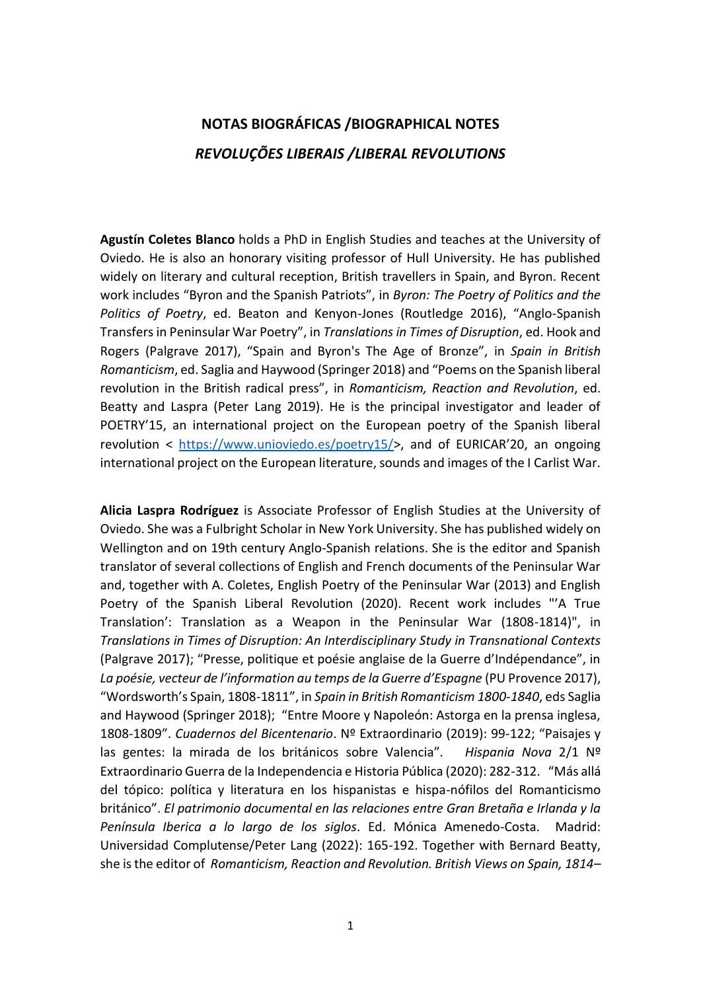## **NOTAS BIOGRÁFICAS /BIOGRAPHICAL NOTES** *REVOLUÇÕES LIBERAIS /LIBERAL REVOLUTIONS*

**Agustín Coletes Blanco** holds a PhD in English Studies and teaches at the University of Oviedo. He is also an honorary visiting professor of Hull University. He has published widely on literary and cultural reception, British travellers in Spain, and Byron. Recent work includes "Byron and the Spanish Patriots", in *Byron: The Poetry of Politics and the Politics of Poetry*, ed. Beaton and Kenyon-Jones (Routledge 2016), "Anglo-Spanish Transfers in Peninsular War Poetry", in *Translations in Times of Disruption*, ed. Hook and Rogers (Palgrave 2017), "Spain and Byron's The Age of Bronze", in *Spain in British Romanticism*, ed. Saglia and Haywood (Springer 2018) and "Poems on the Spanish liberal revolution in the British radical press", in *Romanticism, Reaction and Revolution*, ed. Beatty and Laspra (Peter Lang 2019). He is the principal investigator and leader of POETRY'15, an international project on the European poetry of the Spanish liberal revolution < [https://www.unioviedo.es/poetry15/>](https://www.unioviedo.es/poetry15/), and of EURICAR'20, an ongoing international project on the European literature, sounds and images of the I Carlist War.

**Alicia Laspra Rodríguez** is Associate Professor of English Studies at the University of Oviedo. She was a Fulbright Scholar in New York University. She has published widely on Wellington and on 19th century Anglo-Spanish relations. She is the editor and Spanish translator of several collections of English and French documents of the Peninsular War and, together with A. Coletes, English Poetry of the Peninsular War (2013) and English Poetry of the Spanish Liberal Revolution (2020). Recent work includes "'A True Translation': Translation as a Weapon in the Peninsular War (1808-1814)", in *Translations in Times of Disruption: An Interdisciplinary Study in Transnational Contexts* (Palgrave 2017); "Presse, politique et poésie anglaise de la Guerre d'Indépendance", in *La poésie, vecteur de l'information au temps de la Guerre d'Espagne* (PU Provence 2017), "Wordsworth's Spain, 1808-1811", in *Spain in British Romanticism 1800-1840*, eds Saglia and Haywood (Springer 2018); "Entre Moore y Napoleón: Astorga en la prensa inglesa, 1808-1809". *Cuadernos del Bicentenario*. Nº Extraordinario (2019): 99-122; "Paisajes y las gentes: la mirada de los británicos sobre Valencia". *Hispania Nova* 2/1 Nº Extraordinario Guerra de la Independencia e Historia Pública (2020): 282-312. "Más allá del tópico: política y literatura en los hispanistas e hispa-nófilos del Romanticismo británico". *El patrimonio documental en las relaciones entre Gran Bretaña e Irlanda y la Península Iberica a lo largo de los siglos*. Ed. Mónica Amenedo-Costa. Madrid: Universidad Complutense/Peter Lang (2022): 165-192. Together with Bernard Beatty, she is the editor of *Romanticism, Reaction and Revolution. British Views on Spain, 1814–*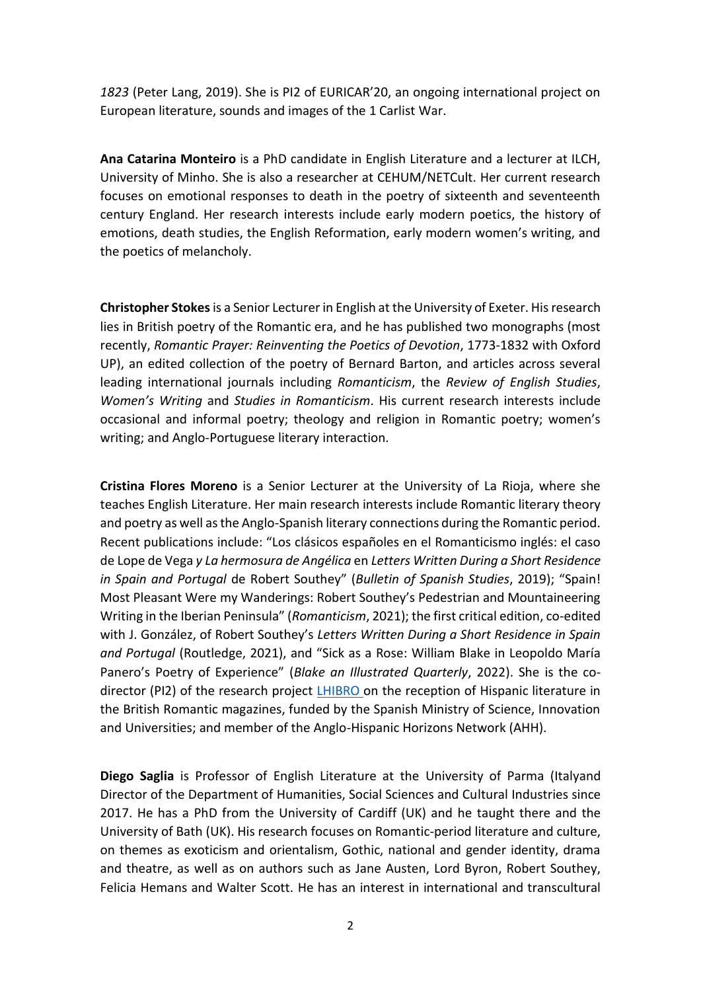*1823* (Peter Lang, 2019). She is PI2 of EURICAR'20, an ongoing international project on European literature, sounds and images of the 1 Carlist War.

**Ana Catarina Monteiro** is a PhD candidate in English Literature and a lecturer at ILCH, University of Minho. She is also a researcher at CEHUM/NETCult. Her current research focuses on emotional responses to death in the poetry of sixteenth and seventeenth century England. Her research interests include early modern poetics, the history of emotions, death studies, the English Reformation, early modern women's writing, and the poetics of melancholy.

**Christopher Stokes**is a Senior Lecturer in English at the University of Exeter. His research lies in British poetry of the Romantic era, and he has published two monographs (most recently, *Romantic Prayer: Reinventing the Poetics of Devotion*, 1773-1832 with Oxford UP), an edited collection of the poetry of Bernard Barton, and articles across several leading international journals including *Romanticism*, the *Review of English Studies*, *Women's Writing* and *Studies in Romanticism*. His current research interests include occasional and informal poetry; theology and religion in Romantic poetry; women's writing; and Anglo-Portuguese literary interaction.

**Cristina Flores Moreno** is a Senior Lecturer at the University of La Rioja, where she teaches English Literature. Her main research interests include Romantic literary theory and poetry as well as the Anglo-Spanish literary connections during the Romantic period. Recent publications include: "Los clásicos españoles en el Romanticismo inglés: el caso de Lope de Vega *y La hermosura de Angélica* en *Letters Written During a Short Residence in Spain and Portugal* de Robert Southey" (*Bulletin of Spanish Studies*, 2019); "Spain! Most Pleasant Were my Wanderings: Robert Southey's Pedestrian and Mountaineering Writing in the Iberian Peninsula" (*Romanticism*, 2021); the first critical edition, co-edited with J. González, of Robert Southey's *Letters Written During a Short Residence in Spain and Portugal* (Routledge, 2021), and "Sick as a Rose: William Blake in Leopoldo María Panero's Poetry of Experience" (*Blake an Illustrated Quarterly*, 2022). She is the co-director (PI2) of the research project [LHIBRO o](http://lhibro.uva.es/)n the reception of Hispanic literature in the British Romantic magazines, funded by the Spanish Ministry of Science, Innovation and Universities; and member of the Anglo-Hispanic Horizons Network (AHH).

**Diego Saglia** is Professor of English Literature at the University of Parma (Italyand Director of the Department of Humanities, Social Sciences and Cultural Industries since 2017. He has a PhD from the University of Cardiff (UK) and he taught there and the University of Bath (UK). His research focuses on Romantic-period literature and culture, on themes as exoticism and orientalism, Gothic, national and gender identity, drama and theatre, as well as on authors such as Jane Austen, Lord Byron, Robert Southey, Felicia Hemans and Walter Scott. He has an interest in international and transcultural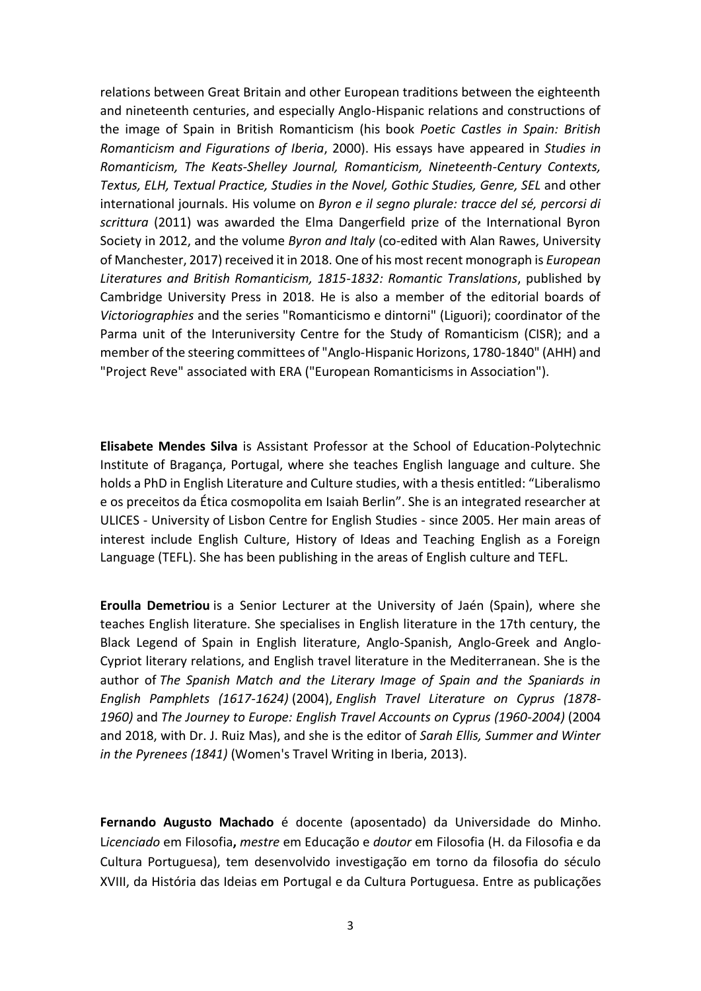relations between Great Britain and other European traditions between the eighteenth and nineteenth centuries, and especially Anglo-Hispanic relations and constructions of the image of Spain in British Romanticism (his book *Poetic Castles in Spain: British Romanticism and Figurations of Iberia*, 2000). His essays have appeared in *Studies in Romanticism, The Keats-Shelley Journal, Romanticism, Nineteenth-Century Contexts, Textus, ELH, Textual Practice, Studies in the Novel, Gothic Studies, Genre, SEL* and other international journals. His volume on *Byron e il segno plurale: tracce del sé, percorsi di scrittura* (2011) was awarded the Elma Dangerfield prize of the International Byron Society in 2012, and the volume *Byron and Italy* (co-edited with Alan Rawes, University of Manchester, 2017) received it in 2018. One of his most recent monograph is *European Literatures and British Romanticism, 1815-1832: Romantic Translations*, published by Cambridge University Press in 2018. He is also a member of the editorial boards of *Victoriographies* and the series "Romanticismo e dintorni" (Liguori); coordinator of the Parma unit of the Interuniversity Centre for the Study of Romanticism (CISR); and a member of the steering committees of "Anglo-Hispanic Horizons, 1780-1840" (AHH) and "Project Reve" associated with ERA ("European Romanticisms in Association").

**Elisabete Mendes Silva** is Assistant Professor at the School of Education-Polytechnic Institute of Bragança, Portugal, where she teaches English language and culture. She holds a PhD in English Literature and Culture studies, with a thesis entitled: "Liberalismo e os preceitos da Ética cosmopolita em Isaiah Berlin". She is an integrated researcher at ULICES - University of Lisbon Centre for English Studies - since 2005. Her main areas of interest include English Culture, History of Ideas and Teaching English as a Foreign Language (TEFL). She has been publishing in the areas of English culture and TEFL.

**Eroulla Demetriou** is a Senior Lecturer at the University of Jaén (Spain), where she teaches English literature. She specialises in English literature in the 17th century, the Black Legend of Spain in English literature, Anglo-Spanish, Anglo-Greek and Anglo-Cypriot literary relations, and English travel literature in the Mediterranean. She is the author of *The Spanish Match and the Literary Image of Spain and the Spaniards in English Pamphlets (1617-1624)* (2004), *English Travel Literature on Cyprus (1878- 1960)* and *The Journey to Europe: English Travel Accounts on Cyprus (1960-2004)* (2004 and 2018, with Dr. J. Ruiz Mas), and she is the editor of *Sarah Ellis, Summer and Winter in the Pyrenees (1841)* (Women's Travel Writing in Iberia, 2013).

**Fernando Augusto Machado** é docente (aposentado) da Universidade do Minho. L*icenciado* em Filosofia**,** *mestre* em Educação e *doutor* em Filosofia (H. da Filosofia e da Cultura Portuguesa), tem desenvolvido investigação em torno da filosofia do século XVIII, da História das Ideias em Portugal e da Cultura Portuguesa. Entre as publicações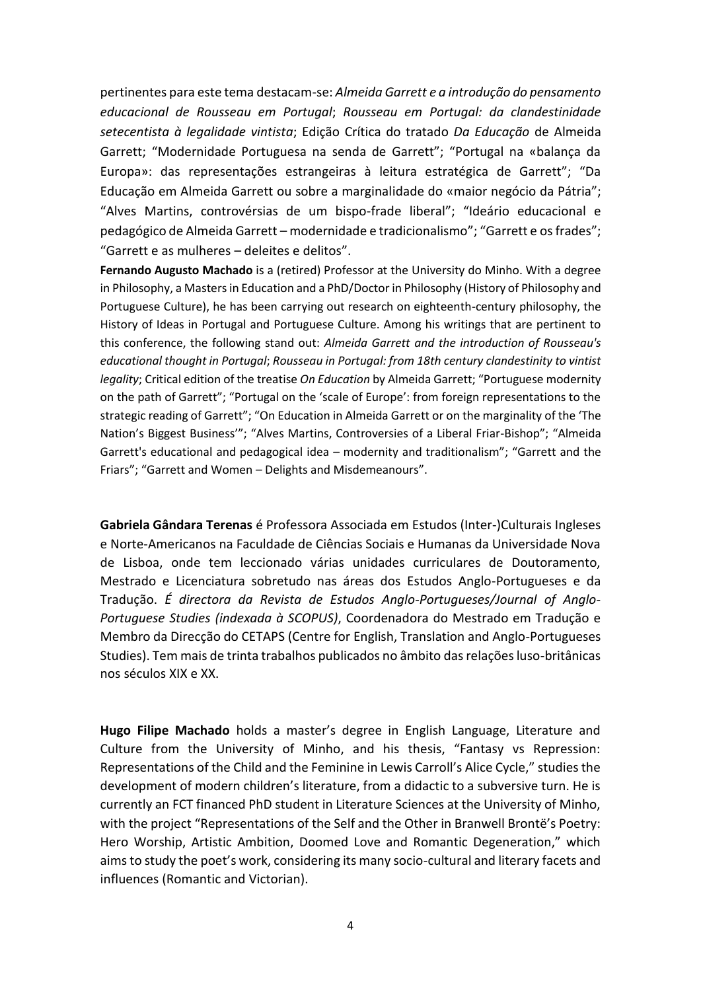pertinentes para este tema destacam-se: *Almeida Garrett e a introdução do pensamento educacional de Rousseau em Portugal*; *Rousseau em Portugal: da clandestinidade setecentista à legalidade vintista*; Edição Crítica do tratado *Da Educação* de Almeida Garrett; "Modernidade Portuguesa na senda de Garrett"; "Portugal na «balança da Europa»: das representações estrangeiras à leitura estratégica de Garrett"; "Da Educação em Almeida Garrett ou sobre a marginalidade do «maior negócio da Pátria"; "Alves Martins, controvérsias de um bispo-frade liberal"; "Ideário educacional e pedagógico de Almeida Garrett – modernidade e tradicionalismo"; "Garrett e os frades"; "Garrett e as mulheres – deleites e delitos".

**Fernando Augusto Machado** is a (retired) Professor at the University do Minho. With a degree in Philosophy, a Masters in Education and a PhD/Doctor in Philosophy (History of Philosophy and Portuguese Culture), he has been carrying out research on eighteenth-century philosophy, the History of Ideas in Portugal and Portuguese Culture. Among his writings that are pertinent to this conference, the following stand out: *Almeida Garrett and the introduction of Rousseau's educational thought in Portugal*; *Rousseau in Portugal: from 18th century clandestinity to vintist legality*; Critical edition of the treatise *On Education* by Almeida Garrett; "Portuguese modernity on the path of Garrett"; "Portugal on the 'scale of Europe': from foreign representations to the strategic reading of Garrett"; "On Education in Almeida Garrett or on the marginality of the 'The Nation's Biggest Business'"; "Alves Martins, Controversies of a Liberal Friar-Bishop"; "Almeida Garrett's educational and pedagogical idea – modernity and traditionalism"; "Garrett and the Friars"; "Garrett and Women – Delights and Misdemeanours".

**Gabriela Gândara Terenas** é Professora Associada em Estudos (Inter-)Culturais Ingleses e Norte-Americanos na Faculdade de Ciências Sociais e Humanas da Universidade Nova de Lisboa, onde tem leccionado várias unidades curriculares de Doutoramento, Mestrado e Licenciatura sobretudo nas áreas dos Estudos Anglo-Portugueses e da Tradução. *É directora da Revista de Estudos Anglo-Portugueses/Journal of Anglo-Portuguese Studies (indexada à SCOPUS)*, Coordenadora do Mestrado em Tradução e Membro da Direcção do CETAPS (Centre for English, Translation and Anglo-Portugueses Studies). Tem mais de trinta trabalhos publicados no âmbito das relações luso-britânicas nos séculos XIX e XX.

**Hugo Filipe Machado** holds a master's degree in English Language, Literature and Culture from the University of Minho, and his thesis, "Fantasy vs Repression: Representations of the Child and the Feminine in Lewis Carroll's Alice Cycle," studies the development of modern children's literature, from a didactic to a subversive turn. He is currently an FCT financed PhD student in Literature Sciences at the University of Minho, with the project "Representations of the Self and the Other in Branwell Brontë's Poetry: Hero Worship, Artistic Ambition, Doomed Love and Romantic Degeneration," which aims to study the poet's work, considering its many socio-cultural and literary facets and influences (Romantic and Victorian).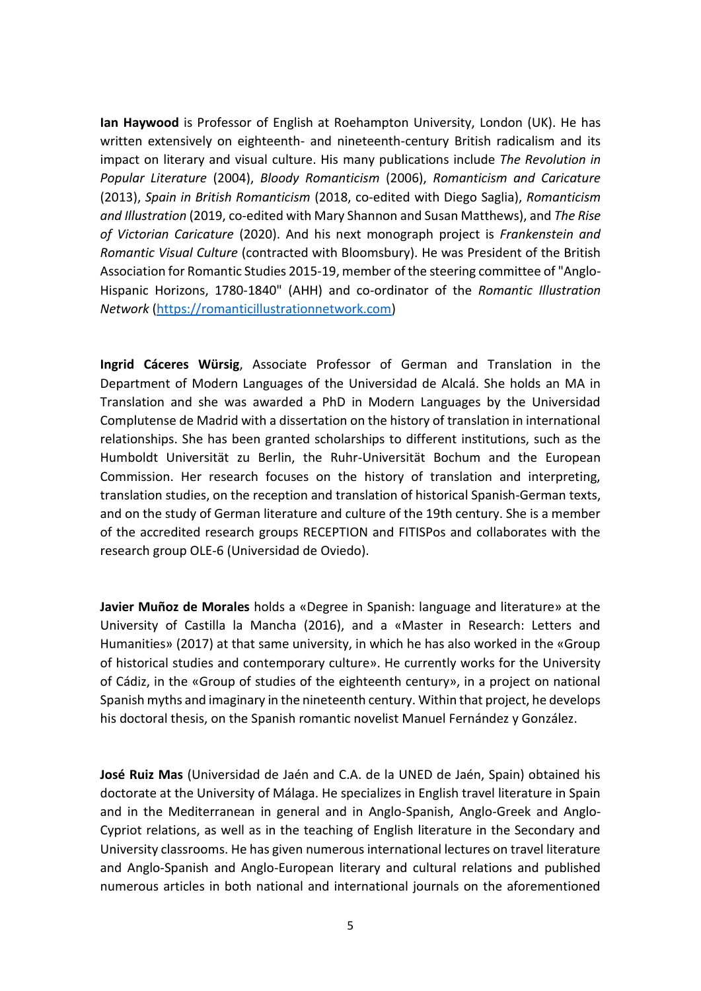**Ian Haywood** is Professor of English at Roehampton University, London (UK). He has written extensively on eighteenth- and nineteenth-century British radicalism and its impact on literary and visual culture. His many publications include *The Revolution in Popular Literature* (2004), *Bloody Romanticism* (2006), *Romanticism and Caricature* (2013), *Spain in British Romanticism* (2018, co-edited with Diego Saglia), *Romanticism and Illustration* (2019, co-edited with Mary Shannon and Susan Matthews), and *The Rise of Victorian Caricature* (2020). And his next monograph project is *Frankenstein and Romantic Visual Culture* (contracted with Bloomsbury). He was President of the British Association for Romantic Studies 2015-19, member of the steering committee of "Anglo-Hispanic Horizons, 1780-1840" (AHH) and co-ordinator of the *Romantic Illustration Network* [\(https://romanticillustrationnetwork.com\)](https://romanticillustrationnetwork.com/)

**Ingrid Cáceres Würsig**, Associate Professor of German and Translation in the Department of Modern Languages of the Universidad de Alcalá. She holds an MA in Translation and she was awarded a PhD in Modern Languages by the Universidad Complutense de Madrid with a dissertation on the history of translation in international relationships. She has been granted scholarships to different institutions, such as the Humboldt Universität zu Berlin, the Ruhr-Universität Bochum and the European Commission. Her research focuses on the history of translation and interpreting, translation studies, on the reception and translation of historical Spanish-German texts, and on the study of German literature and culture of the 19th century. She is a member of the accredited research groups RECEPTION and FITISPos and collaborates with the research group OLE-6 (Universidad de Oviedo).

**Javier Muñoz de Morales** holds a «Degree in Spanish: language and literature» at the University of Castilla la Mancha (2016), and a «Master in Research: Letters and Humanities» (2017) at that same university, in which he has also worked in the «Group of historical studies and contemporary culture». He currently works for the University of Cádiz, in the «Group of studies of the eighteenth century», in a project on national Spanish myths and imaginary in the nineteenth century. Within that project, he develops his doctoral thesis, on the Spanish romantic novelist Manuel Fernández y González.

**José Ruiz Mas** (Universidad de Jaén and C.A. de la UNED de Jaén, Spain) obtained his doctorate at the University of Málaga. He specializes in English travel literature in Spain and in the Mediterranean in general and in Anglo-Spanish, Anglo-Greek and Anglo-Cypriot relations, as well as in the teaching of English literature in the Secondary and University classrooms. He has given numerous international lectures on travel literature and Anglo-Spanish and Anglo-European literary and cultural relations and published numerous articles in both national and international journals on the aforementioned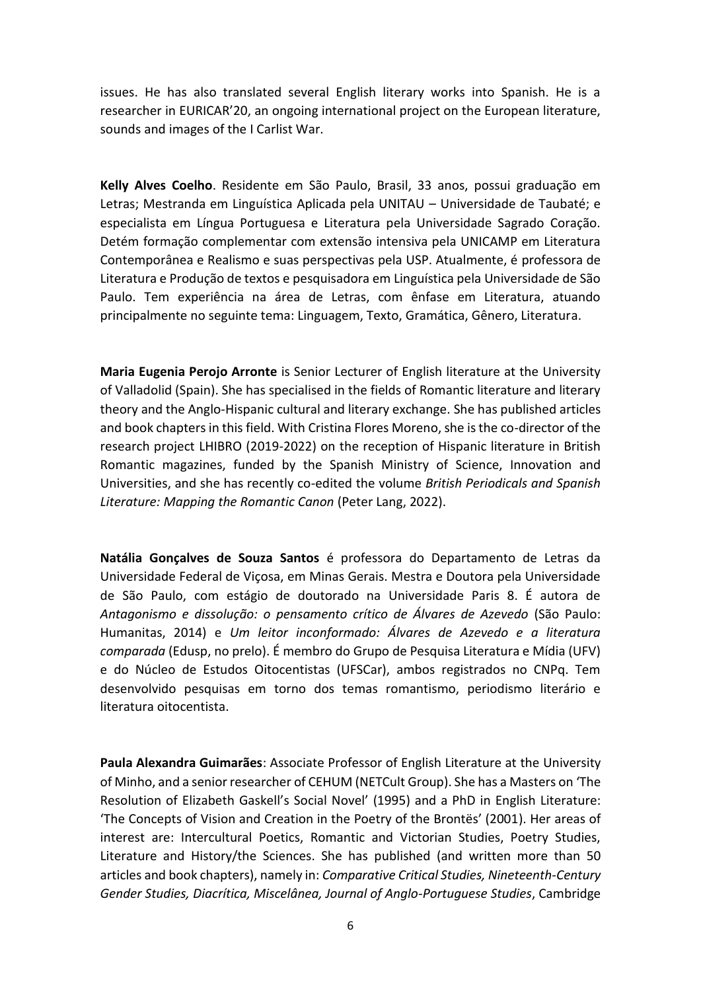issues. He has also translated several English literary works into Spanish. He is a researcher in EURICAR'20, an ongoing international project on the European literature, sounds and images of the I Carlist War.

**Kelly Alves Coelho**. Residente em São Paulo, Brasil, 33 anos, possui graduação em Letras; Mestranda em Linguística Aplicada pela UNITAU – Universidade de Taubaté; e especialista em Língua Portuguesa e Literatura pela Universidade Sagrado Coração. Detém formação complementar com extensão intensiva pela UNICAMP em Literatura Contemporânea e Realismo e suas perspectivas pela USP. Atualmente, é professora de Literatura e Produção de textos e pesquisadora em Linguística pela Universidade de São Paulo. Tem experiência na área de Letras, com ênfase em Literatura, atuando principalmente no seguinte tema: Linguagem, Texto, Gramática, Gênero, Literatura.

**Maria Eugenia Perojo Arronte** is Senior Lecturer of English literature at the University of Valladolid (Spain). She has specialised in the fields of Romantic literature and literary theory and the Anglo-Hispanic cultural and literary exchange. She has published articles and book chapters in this field. With Cristina Flores Moreno, she is the co-director of the research project LHIBRO (2019-2022) on the reception of Hispanic literature in British Romantic magazines, funded by the Spanish Ministry of Science, Innovation and Universities, and she has recently co-edited the volume *British Periodicals and Spanish Literature: Mapping the Romantic Canon* (Peter Lang, 2022).

**Natália Gonçalves de Souza Santos** é professora do Departamento de Letras da Universidade Federal de Viçosa, em Minas Gerais. Mestra e Doutora pela Universidade de São Paulo, com estágio de doutorado na Universidade Paris 8. É autora de *Antagonismo e dissolução: o pensamento crítico de Álvares de Azevedo* (São Paulo: Humanitas, 2014) e *Um leitor inconformado: Álvares de Azevedo e a literatura comparada* (Edusp, no prelo). É membro do Grupo de Pesquisa Literatura e Mídia (UFV) e do Núcleo de Estudos Oitocentistas (UFSCar), ambos registrados no CNPq. Tem desenvolvido pesquisas em torno dos temas romantismo, periodismo literário e literatura oitocentista.

**Paula Alexandra Guimarães**: Associate Professor of English Literature at the University of Minho, and a senior researcher of CEHUM (NETCult Group). She has a Masters on 'The Resolution of Elizabeth Gaskell's Social Novel' (1995) and a PhD in English Literature: 'The Concepts of Vision and Creation in the Poetry of the Brontës' (2001). Her areas of interest are: Intercultural Poetics, Romantic and Victorian Studies, Poetry Studies, Literature and History/the Sciences. She has published (and written more than 50 articles and book chapters), namely in: *Comparative Critical Studies, Nineteenth-Century Gender Studies, Diacrítica, Miscelânea, Journal of Anglo-Portuguese Studies*, Cambridge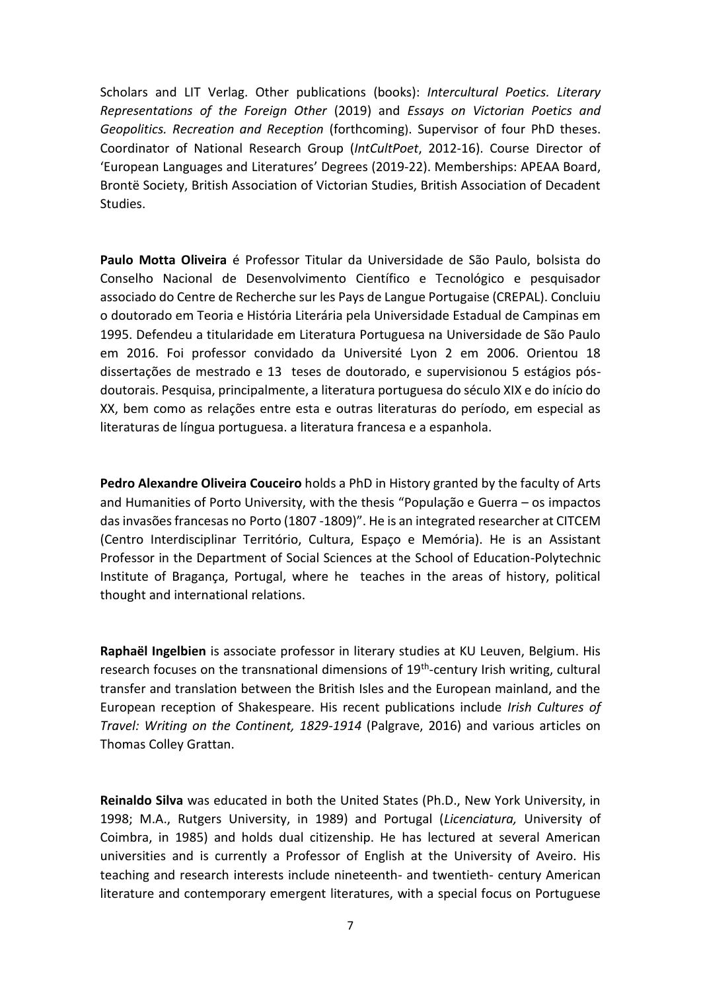Scholars and LIT Verlag. Other publications (books): *Intercultural Poetics. Literary Representations of the Foreign Other* (2019) and *Essays on Victorian Poetics and Geopolitics. Recreation and Reception* (forthcoming). Supervisor of four PhD theses. Coordinator of National Research Group (*IntCultPoet*, 2012-16). Course Director of 'European Languages and Literatures' Degrees (2019-22). Memberships: APEAA Board, Brontë Society, British Association of Victorian Studies, British Association of Decadent Studies.

**Paulo Motta Oliveira** é Professor Titular da Universidade de São Paulo, bolsista do Conselho Nacional de Desenvolvimento Científico e Tecnológico e pesquisador associado do Centre de Recherche sur les Pays de Langue Portugaise (CREPAL). Concluiu o doutorado em Teoria e História Literária pela Universidade Estadual de Campinas em 1995. Defendeu a titularidade em Literatura Portuguesa na Universidade de São Paulo em 2016. Foi professor convidado da Université Lyon 2 em 2006. Orientou 18 dissertações de mestrado e 13 teses de doutorado, e supervisionou 5 estágios pósdoutorais. Pesquisa, principalmente, a literatura portuguesa do século XIX e do início do XX, bem como as relações entre esta e outras literaturas do período, em especial as literaturas de língua portuguesa. a literatura francesa e a espanhola.

**Pedro Alexandre Oliveira Couceiro** holds a PhD in History granted by the faculty of Arts and Humanities of Porto University, with the thesis "População e Guerra – os impactos das invasões francesas no Porto (1807 -1809)". He is an integrated researcher at CITCEM (Centro Interdisciplinar Território, Cultura, Espaço e Memória). He is an Assistant Professor in the Department of Social Sciences at the School of Education-Polytechnic Institute of Bragança, Portugal, where he teaches in the areas of history, political thought and international relations.

**Raphaël Ingelbien** is associate professor in literary studies at KU Leuven, Belgium. His research focuses on the transnational dimensions of 19<sup>th</sup>-century Irish writing, cultural transfer and translation between the British Isles and the European mainland, and the European reception of Shakespeare. His recent publications include *Irish Cultures of Travel: Writing on the Continent, 1829-1914* (Palgrave, 2016) and various articles on Thomas Colley Grattan.

**Reinaldo Silva** was educated in both the United States (Ph.D., New York University, in 1998; M.A., Rutgers University, in 1989) and Portugal (*Licenciatura,* University of Coimbra, in 1985) and holds dual citizenship. He has lectured at several American universities and is currently a Professor of English at the University of Aveiro. His teaching and research interests include nineteenth- and twentieth- century American literature and contemporary emergent literatures, with a special focus on Portuguese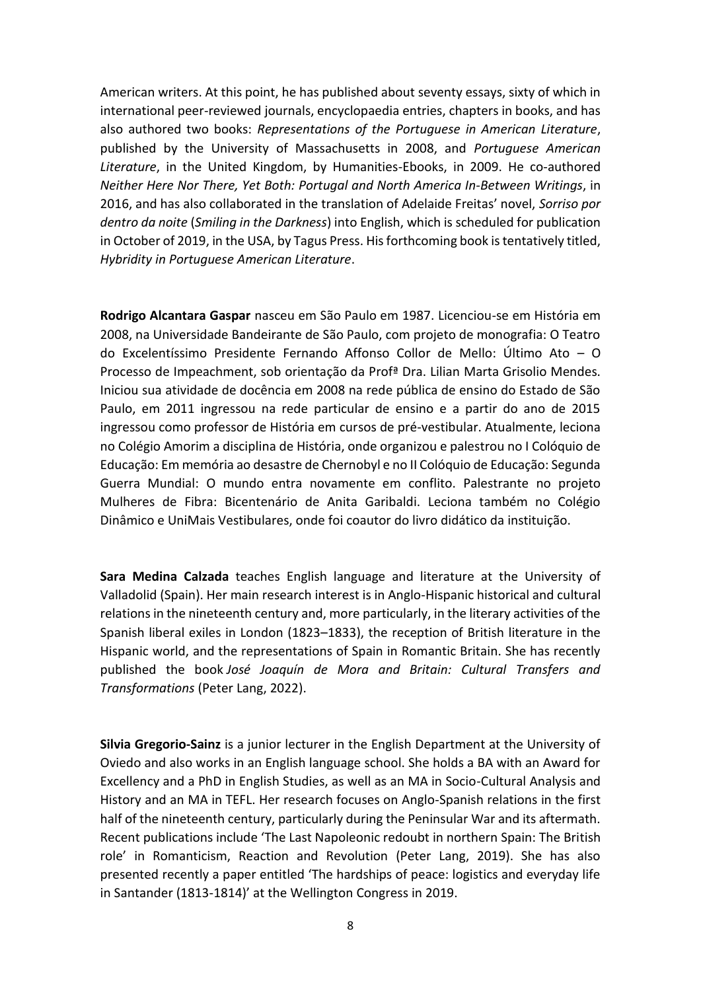American writers. At this point, he has published about seventy essays, sixty of which in international peer-reviewed journals, encyclopaedia entries, chapters in books, and has also authored two books: *Representations of the Portuguese in American Literature*, published by the University of Massachusetts in 2008, and *Portuguese American Literature*, in the United Kingdom, by Humanities-Ebooks, in 2009. He co-authored *Neither Here Nor There, Yet Both: Portugal and North America In-Between Writings*, in 2016, and has also collaborated in the translation of Adelaide Freitas' novel, *Sorriso por dentro da noite* (*Smiling in the Darkness*) into English, which is scheduled for publication in October of 2019, in the USA, by Tagus Press. His forthcoming book is tentatively titled, *Hybridity in Portuguese American Literature*.

**Rodrigo Alcantara Gaspar** nasceu em São Paulo em 1987. Licenciou-se em História em 2008, na Universidade Bandeirante de São Paulo, com projeto de monografia: O Teatro do Excelentíssimo Presidente Fernando Affonso Collor de Mello: Último Ato – O Processo de Impeachment, sob orientação da Profª Dra. Lilian Marta Grisolio Mendes. Iniciou sua atividade de docência em 2008 na rede pública de ensino do Estado de São Paulo, em 2011 ingressou na rede particular de ensino e a partir do ano de 2015 ingressou como professor de História em cursos de pré-vestibular. Atualmente, leciona no Colégio Amorim a disciplina de História, onde organizou e palestrou no I Colóquio de Educação: Em memória ao desastre de Chernobyl e no II Colóquio de Educação: Segunda Guerra Mundial: O mundo entra novamente em conflito. Palestrante no projeto Mulheres de Fibra: Bicentenário de Anita Garibaldi. Leciona também no Colégio Dinâmico e UniMais Vestibulares, onde foi coautor do livro didático da instituição.

**Sara Medina Calzada** teaches English language and literature at the University of Valladolid (Spain). Her main research interest is in Anglo-Hispanic historical and cultural relations in the nineteenth century and, more particularly, in the literary activities of the Spanish liberal exiles in London (1823–1833), the reception of British literature in the Hispanic world, and the representations of Spain in Romantic Britain. She has recently published the book *José Joaquín de Mora and Britain: Cultural Transfers and Transformations* (Peter Lang, 2022).

**Silvia Gregorio-Sainz** is a junior lecturer in the English Department at the University of Oviedo and also works in an English language school. She holds a BA with an Award for Excellency and a PhD in English Studies, as well as an MA in Socio-Cultural Analysis and History and an MA in TEFL. Her research focuses on Anglo-Spanish relations in the first half of the nineteenth century, particularly during the Peninsular War and its aftermath. Recent publications include 'The Last Napoleonic redoubt in northern Spain: The British role' in Romanticism, Reaction and Revolution (Peter Lang, 2019). She has also presented recently a paper entitled 'The hardships of peace: logistics and everyday life in Santander (1813-1814)' at the Wellington Congress in 2019.